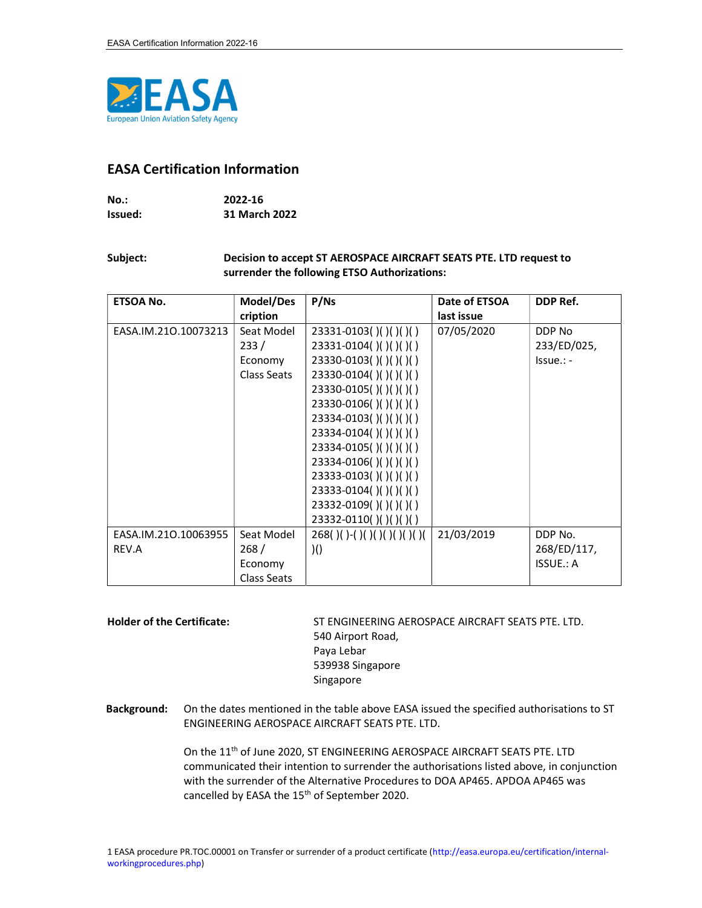

## EASA Certification Information

| $No.$ : | 2022-16       |
|---------|---------------|
| Issued: | 31 March 2022 |

## Subject: Decision to accept ST AEROSPACE AIRCRAFT SEATS PTE. LTD request to surrender the following ETSO Authorizations:

| ETSOA No.            | Model/Des   | P/Ns                              | Date of ETSOA | DDP Ref.         |
|----------------------|-------------|-----------------------------------|---------------|------------------|
|                      | cription    |                                   | last issue    |                  |
| EASA.IM.210.10073213 | Seat Model  | 23331-0103()()()()()              | 07/05/2020    | DDP No           |
|                      | 233/        | 23331-0104()()()()()              |               | 233/ED/025,      |
|                      | Economy     | 23330-0103()()()()()              |               | $Is sue.: -$     |
|                      | Class Seats | 23330-0104()()()()()              |               |                  |
|                      |             | 23330-0105()()()()()()            |               |                  |
|                      |             | 23330-0106()()()()()()            |               |                  |
|                      |             | 23334-0103()()()()()()            |               |                  |
|                      |             | 23334-0104()()()()()              |               |                  |
|                      |             | 23334-0105()()()()()()            |               |                  |
|                      |             | 23334-0106()()()()()()            |               |                  |
|                      |             | 23333-0103()()()()()()            |               |                  |
|                      |             | 23333-0104()()()()()()            |               |                  |
|                      |             | 23332-0109()()()()()()            |               |                  |
|                      |             | 23332-0110()()()()()()            |               |                  |
| EASA.IM.210.10063955 | Seat Model  | $268()()(-()()()()()()()()()()()$ | 21/03/2019    | DDP No.          |
| REV.A                | 268/        | )()                               |               | 268/ED/117,      |
|                      | Economy     |                                   |               | <b>ISSUE.: A</b> |
|                      | Class Seats |                                   |               |                  |

Holder of the Certificate: ST ENGINEERING AEROSPACE AIRCRAFT SEATS PTE. LTD. 540 Airport Road, Paya Lebar 539938 Singapore Singapore

Background: On the dates mentioned in the table above EASA issued the specified authorisations to ST ENGINEERING AEROSPACE AIRCRAFT SEATS PTE. LTD.

> On the 11<sup>th</sup> of June 2020, ST ENGINEERING AEROSPACE AIRCRAFT SEATS PTE. LTD communicated their intention to surrender the authorisations listed above, in conjunction with the surrender of the Alternative Procedures to DOA AP465. APDOA AP465 was cancelled by EASA the 15<sup>th</sup> of September 2020.